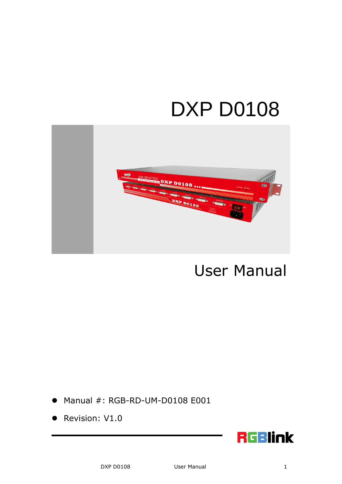# DXP D0108



# User Manual

- Manual #: RGB-RD-UM-D0108 E001
- Revision: V1.0

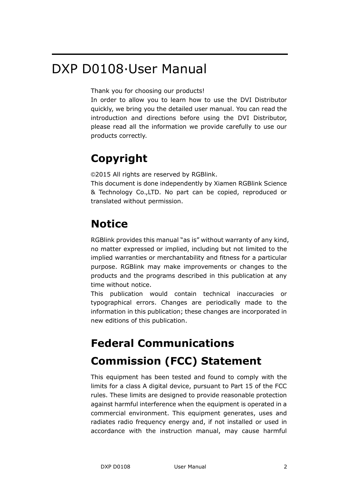## DXP D0108·User Manual

Thank you for choosing our products!

In order to allow you to learn how to use the DVI Distributor quickly, we bring you the detailed user manual. You can read the introduction and directions before using the DVI Distributor, please read all the information we provide carefully to use our products correctly.

### **Copyright**

©2015 All rights are reserved by RGBlink.

This document is done independently by Xiamen RGBlink Science & Technology Co.,LTD. No part can be copied, reproduced or translated without permission.

### **Notice**

RGBlink provides this manual "as is" without warranty of any kind, no matter expressed or implied, including but not limited to the implied warranties or merchantability and fitness for a particular purpose. RGBlink may make improvements or changes to the products and the programs described in this publication at any time without notice.

This publication would contain technical inaccuracies or typographical errors. Changes are periodically made to the information in this publication; these changes are incorporated in new editions of this publication.

## **Federal Communications Commission (FCC) Statement**

This equipment has been tested and found to comply with the limits for a class A digital device, pursuant to Part 15 of the FCC rules. These limits are designed to provide reasonable protection against harmful interference when the equipment is operated in a commercial environment. This equipment generates, uses and radiates radio frequency energy and, if not installed or used in accordance with the instruction manual, may cause harmful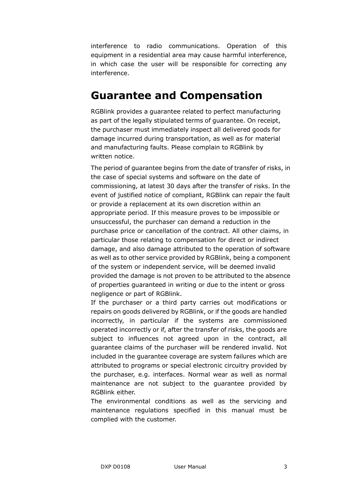interference to radio communications. Operation of this equipment in a residential area may cause harmful interference, in which case the user will be responsible for correcting any interference.

#### **Guarantee and Compensation**

RGBlink provides a guarantee related to perfect manufacturing as part of the legally stipulated terms of guarantee. On receipt, the purchaser must immediately inspect all delivered goods for damage incurred during transportation, as well as for material and manufacturing faults. Please complain to RGBlink by written notice.

The period of guarantee begins from the date of transfer of risks, in the case of special systems and software on the date of commissioning, at latest 30 days after the transfer of risks. In the event of justified notice of compliant, RGBlink can repair the fault or provide a replacement at its own discretion within an appropriate period. If this measure proves to be impossible or unsuccessful, the purchaser can demand a reduction in the purchase price or cancellation of the contract. All other claims, in particular those relating to compensation for direct or indirect damage, and also damage attributed to the operation of software as well as to other service provided by RGBlink, being a component of the system or independent service, will be deemed invalid provided the damage is not proven to be attributed to the absence of properties guaranteed in writing or due to the intent or gross negligence or part of RGBlink.

If the purchaser or a third party carries out modifications or repairs on goods delivered by RGBlink, or if the goods are handled incorrectly, in particular if the systems are commissioned operated incorrectly or if, after the transfer of risks, the goods are subject to influences not agreed upon in the contract, all guarantee claims of the purchaser will be rendered invalid. Not included in the guarantee coverage are system failures which are attributed to programs or special electronic circuitry provided by the purchaser, e.g. interfaces. Normal wear as well as normal maintenance are not subject to the guarantee provided by RGBlink either.

The environmental conditions as well as the servicing and maintenance regulations specified in this manual must be complied with the customer.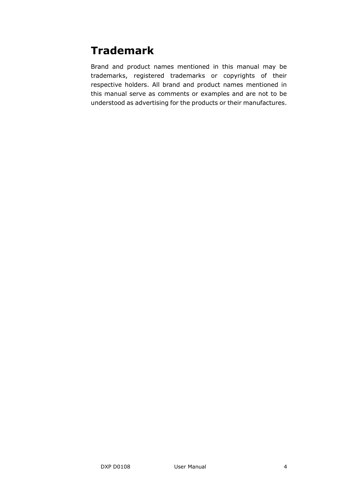### **Trademark**

Brand and product names mentioned in this manual may be trademarks, registered trademarks or copyrights of their respective holders. All brand and product names mentioned in this manual serve as comments or examples and are not to be understood as advertising for the products or their manufactures.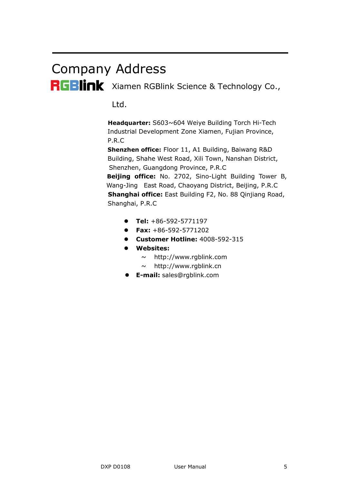# Company Address

RGBlink Xiamen RGBlink Science & Technology Co.,

Ltd.

**Headquarter:** S603~604 Weiye Building Torch Hi-Tech Industrial Development Zone Xiamen, Fujian Province, P.R.C

**Shenzhen office:** Floor 11, A1 Building, Baiwang R&D Building, Shahe West Road, Xili Town, Nanshan District, Shenzhen, Guangdong Province, P.R.C

**Beijing office:** No. 2702, Sino-Light Building Tower B, Wang-Jing East Road, Chaoyang District, Beijing, P.R.C **Shanghai office:** East Building F2, No. 88 Qinjiang Road, Shanghai, P.R.C

- **Tel:** +86-592-5771197
- **Fax:** +86-592-5771202
- **Customer Hotline:** 4008-592-315
- **Websites:** 
	- $\sim$  http://www.rgblink.com
	- $\sim$  http://www.rgblink.cn
- **E-mail:** [sales@rgblink.com](mailto:rgblinkcs@gmail.com)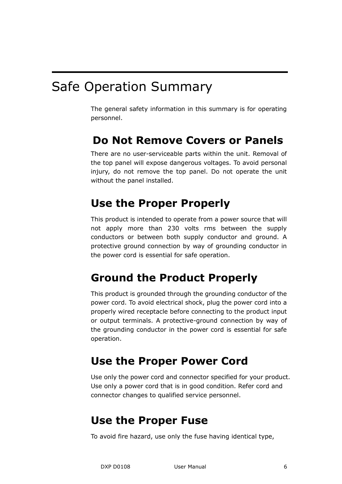## Safe Operation Summary

The general safety information in this summary is for operating personnel.

#### **Do Not Remove Covers or Panels**

There are no user-serviceable parts within the unit. Removal of the top panel will expose dangerous voltages. To avoid personal injury, do not remove the top panel. Do not operate the unit without the panel installed.

### **Use the Proper Properly**

This product is intended to operate from a power source that will not apply more than 230 volts rms between the supply conductors or between both supply conductor and ground. A protective ground connection by way of grounding conductor in the power cord is essential for safe operation.

#### **Ground the Product Properly**

This product is grounded through the grounding conductor of the power cord. To avoid electrical shock, plug the power cord into a properly wired receptacle before connecting to the product input or output terminals. A protective-ground connection by way of the grounding conductor in the power cord is essential for safe operation.

#### **Use the Proper Power Cord**

Use only the power cord and connector specified for your product. Use only a power cord that is in good condition. Refer cord and connector changes to qualified service personnel.

#### **Use the Proper Fuse**

To avoid fire hazard, use only the fuse having identical type,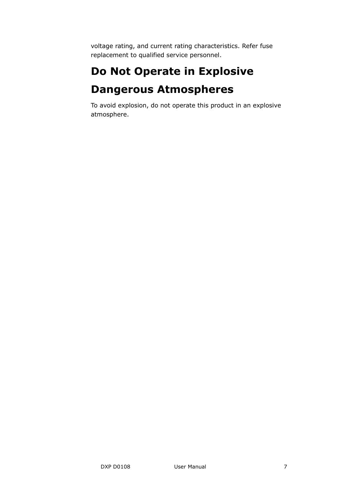voltage rating, and current rating characteristics. Refer fuse replacement to qualified service personnel.

## **Do Not Operate in Explosive Dangerous Atmospheres**

To avoid explosion, do not operate this product in an explosive atmosphere.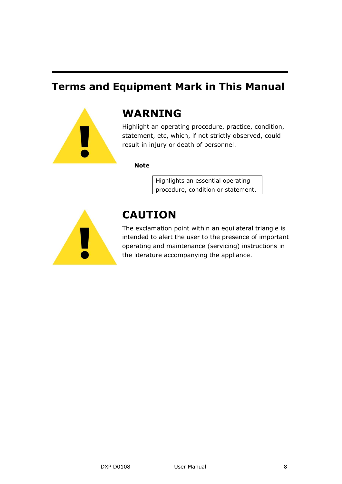#### **Terms and Equipment Mark in This Manual**



#### **WARNING**

Highlight an operating procedure, practice, condition, statement, etc, which, if not strictly observed, could result in injury or death of personnel.

**Note**

Highlights an essential operating procedure, condition or statement.



### **CAUTION**

The exclamation point within an equilateral triangle is intended to alert the user to the presence of important operating and maintenance (servicing) instructions in the literature accompanying the appliance.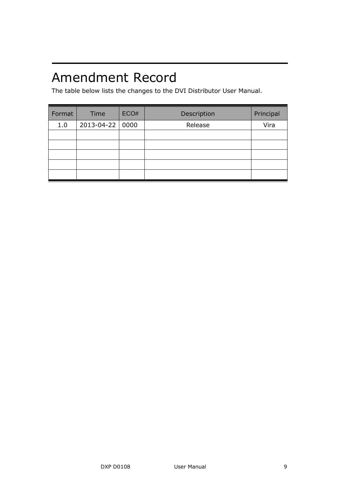# Amendment Record

The table below lists the changes to the DVI Distributor User Manual.

| Format | Time       | ECO# | Description | Principal |
|--------|------------|------|-------------|-----------|
| 1.0    | 2013-04-22 | 0000 | Release     | Vira      |
|        |            |      |             |           |
|        |            |      |             |           |
|        |            |      |             |           |
|        |            |      |             |           |
|        |            |      |             |           |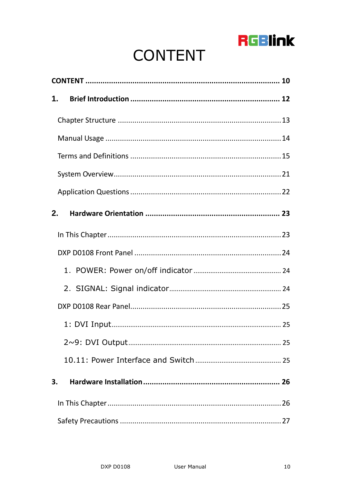

# **CONTENT**

<span id="page-9-0"></span>

| 1. |  |  |
|----|--|--|
|    |  |  |
|    |  |  |
|    |  |  |
|    |  |  |
|    |  |  |
| 2. |  |  |
|    |  |  |
|    |  |  |
|    |  |  |
|    |  |  |
|    |  |  |
|    |  |  |
|    |  |  |
|    |  |  |
| 3. |  |  |
|    |  |  |
|    |  |  |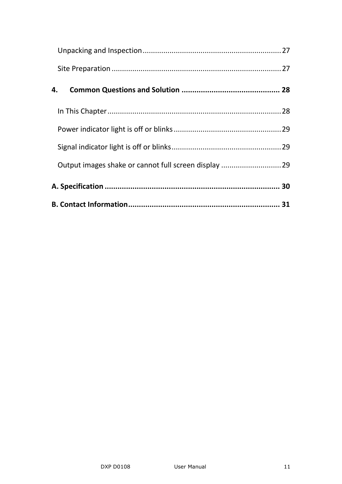| 4. |  |
|----|--|
|    |  |
|    |  |
|    |  |
|    |  |
|    |  |
|    |  |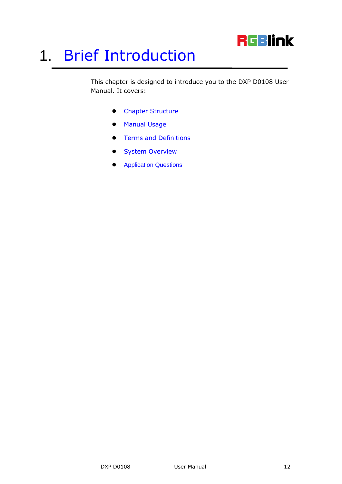## **RGBlink**

# <span id="page-11-2"></span><span id="page-11-0"></span>1. [Brief Introduction](#page-12-1)

<span id="page-11-3"></span><span id="page-11-1"></span>This chapter is designed to introduce you to the DXP D0108 User Manual. It covers:

- [Chapter Structure](#page-12-0)
- [Manual](#page-13-0) Usage
- <span id="page-11-4"></span>[Terms and Definitions](#page-14-0)
- <span id="page-11-5"></span>[System Overview](#page-20-0)
- <span id="page-11-6"></span>[Application Questions](#page-21-1)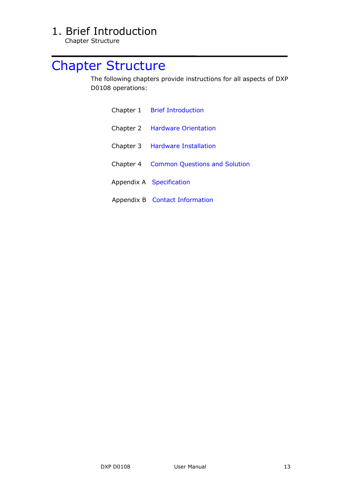Chapter Structure

# <span id="page-12-1"></span><span id="page-12-0"></span>[Chapter Structure](#page-11-1)

<span id="page-12-2"></span>The following chapters provide instructions for all aspects of DXP D0108 operations:

<span id="page-12-6"></span><span id="page-12-5"></span><span id="page-12-4"></span><span id="page-12-3"></span>

| Chapter 1 Brief Introduction                   |  |  |
|------------------------------------------------|--|--|
| Chapter 2 Hardware Orientation                 |  |  |
| Chapter 3 Hardware Installation                |  |  |
| <b>Chapter 4 Common Questions and Solution</b> |  |  |
| Appendix A Specification                       |  |  |
| Appendix B Contact Information                 |  |  |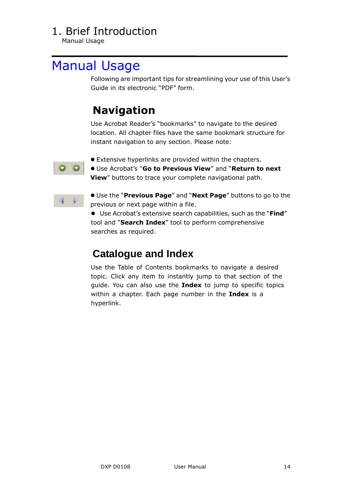Manual Usage

### <span id="page-13-0"></span>[Manual](#page-11-3) Usage

Following are important tips for streamlining your use of this User's Guide in its electronic "PDF" form.

### **Navigation**

Use Acrobat Reader's "bookmarks" to navigate to the desired location. All chapter files have the same bookmark structure for instant navigation to any section. Please note:



Extensive hyperlinks are provided within the chapters.

- Use Acrobat's ―**Go to Previous View**‖ and ―**Return to next View**" buttons to trace your complete navigational path.
- **.** Use the "Previous Page" and "Next Page" buttons to go to the previous or next page within a file.

● Use Acrobat's extensive search capabilities, such as the "Find" tool and "Search Index" tool to perform comprehensive searches as required.

#### **Catalogue and Index**

Use the Table of Contents bookmarks to navigate a desired topic. Click any item to instantly jump to that section of the guide. You can also use the **Index** to jump to specific topics within a chapter. Each page number in the **Index** is a hyperlink.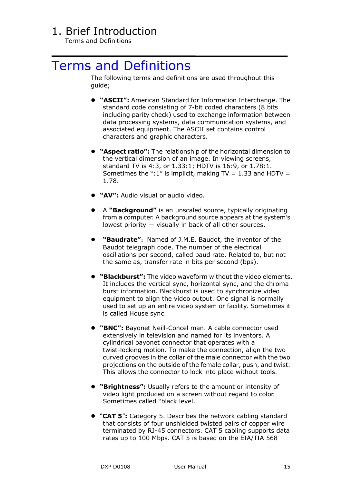Terms and Definitions

### <span id="page-14-0"></span>[Terms and Definitions](#page-11-4)

The following terms and definitions are used throughout this guide;

- **"ASCII":** American Standard for Information Interchange. The standard code consisting of 7-bit coded characters (8 bits including parity check) used to exchange information between data processing systems, data communication systems, and associated equipment. The ASCII set contains control characters and graphic characters.
- **"Aspect ratio":** The relationship of the horizontal dimension to the vertical dimension of an image. In viewing screens, standard TV is 4:3, or 1.33:1; HDTV is 16:9, or 1.78:1. Sometimes the ":1" is implicit, making TV = 1.33 and HDTV = 1.78.
- **"AV":** Audio visual or audio video.
- A **"Background"** is an unscaled source, typically originating from a computer. A background source appears at the system's lowest priority — visually in back of all other sources.
- "Baudrate": Named of J.M.E. Baudot, the inventor of the Baudot telegraph code. The number of the electrical oscillations per second, called baud rate. Related to, but not the same as, transfer rate in bits per second (bps).
- **"Blackburst":** The video waveform without the video elements. It includes the vertical sync, horizontal sync, and the chroma burst information. Blackburst is used to synchronize video equipment to align the video output. One signal is normally used to set up an entire video system or facility. Sometimes it is called House sync.
- **"BNC":** Bayonet Neill-Concel man. A cable connector used extensively in television and named for its inventors. A cylindrical bayonet connector that operates with a twist-locking motion. To make the connection, align the two curved grooves in the collar of the male connector with the two projections on the outside of the female collar, push, and twist. This allows the connector to lock into place without tools.
- **"Brightness":** Usually refers to the amount or intensity of video light produced on a screen without regard to color. Sometimes called "black level.
- ―**CAT 5**‖**:** Category 5. Describes the network cabling standard that consists of four unshielded twisted pairs of copper wire terminated by RJ-45 connectors. CAT 5 cabling supports data rates up to 100 Mbps. CAT 5 is based on the EIA/TIA 568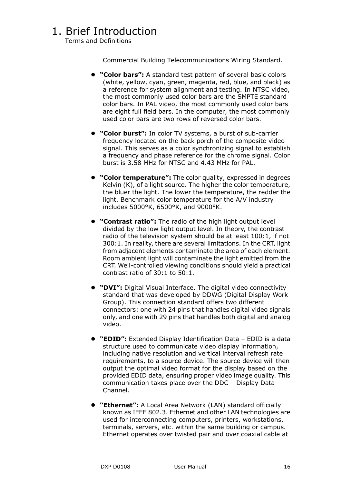Terms and Definitions

Commercial Building Telecommunications Wiring Standard.

- **"Color bars":** A standard test pattern of several basic colors (white, yellow, cyan, green, magenta, red, blue, and black) as a reference for system alignment and testing. In NTSC video, the most commonly used color bars are the SMPTE standard color bars. In PAL video, the most commonly used color bars are eight full field bars. In the computer, the most commonly used color bars are two rows of reversed color bars.
- **"Color burst":** In color TV systems, a burst of sub-carrier frequency located on the back porch of the composite video signal. This serves as a color synchronizing signal to establish a frequency and phase reference for the chrome signal. Color burst is 3.58 MHz for NTSC and 4.43 MHz for PAL.
- **"Color temperature":** The color quality, expressed in degrees Kelvin (K), of a light source. The higher the color temperature, the bluer the light. The lower the temperature, the redder the light. Benchmark color temperature for the A/V industry includes 5000°K, 6500°K, and 9000°K.
- **"Contrast ratio":** The radio of the high light output level divided by the low light output level. In theory, the contrast radio of the television system should be at least 100:1, if not 300:1. In reality, there are several limitations. In the CRT, light from adjacent elements contaminate the area of each element. Room ambient light will contaminate the light emitted from the CRT. Well-controlled viewing conditions should yield a practical contrast ratio of 30:1 to 50:1.
- **"DVI":** Digital Visual Interface. The digital video connectivity standard that was developed by DDWG (Digital Display Work Group). This connection standard offers two different connectors: one with 24 pins that handles digital video signals only, and one with 29 pins that handles both digital and analog video.
- **"EDID":** Extended Display Identification Data EDID is a data structure used to communicate video display information, including native resolution and vertical interval refresh rate requirements, to a source device. The source device will then output the optimal video format for the display based on the provided EDID data, ensuring proper video image quality. This communication takes place over the DDC – Display Data Channel.
- **"Ethernet":** A Local Area Network (LAN) standard officially known as IEEE 802.3. Ethernet and other LAN technologies are used for interconnecting computers, printers, workstations, terminals, servers, etc. within the same building or campus. Ethernet operates over twisted pair and over coaxial cable at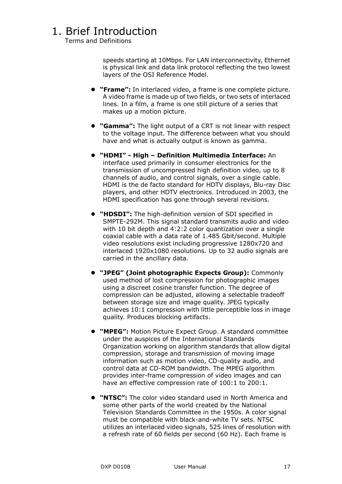Terms and Definitions

speeds starting at 10Mbps. For LAN interconnectivity, Ethernet is physical link and data link protocol reflecting the two lowest layers of the OSI Reference Model.

- **"Frame":** In interlaced video, a frame is one complete picture. A video frame is made up of two fields, or two sets of interlaced lines. In a film, a frame is one still picture of a series that makes up a motion picture.
- **"Gamma":** The light output of a CRT is not linear with respect to the voltage input. The difference between what you should have and what is actually output is known as gamma.
- **"HDMI" - High – Definition Multimedia Interface:** An interface used primarily in consumer electronics for the transmission of uncompressed high definition video, up to 8 channels of audio, and control signals, over a single cable. HDMI is the de facto standard for HDTV displays, Blu-ray Disc players, and other HDTV electronics. Introduced in 2003, the HDMI specification has gone through several revisions.
- **"HDSDI":** The high-definition version of SDI specified in SMPTE-292M. This signal standard transmits audio and video with 10 bit depth and 4:2:2 color quantization over a single coaxial cable with a data rate of 1.485 Gbit/second. Multiple video resolutions exist including progressive 1280x720 and interlaced 1920x1080 resolutions. Up to 32 audio signals are carried in the ancillary data.
- **"JPEG" (Joint photographic Expects Group):** Commonly used method of lost compression for photographic images using a discreet cosine transfer function. The degree of compression can be adjusted, allowing a selectable tradeoff between storage size and image quality. JPEG typically achieves 10:1 compression with little perceptible loss in image quality. Produces blocking artifacts.
- **"MPEG":** Motion Picture Expect Group. A standard committee under the auspices of the International Standards Organization working on algorithm standards that allow digital compression, storage and transmission of moving image information such as motion video, CD-quality audio, and control data at CD-ROM bandwidth. The MPEG algorithm provides inter-frame compression of video images and can have an effective compression rate of 100:1 to 200:1.
- **"NTSC":** The color video standard used in North America and some other parts of the world created by the National Television Standards Committee in the 1950s. A color signal must be compatible with black-and-white TV sets. NTSC utilizes an interlaced video signals, 525 lines of resolution with a refresh rate of 60 fields per second (60 Hz). Each frame is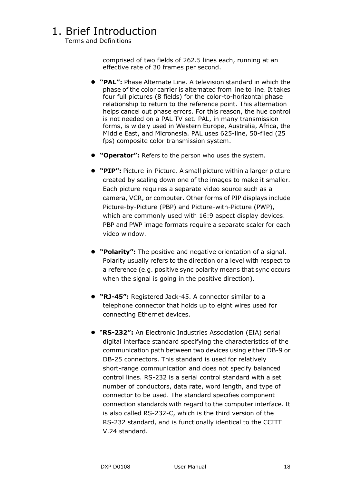Terms and Definitions

comprised of two fields of 262.5 lines each, running at an effective rate of 30 frames per second.

- **"PAL":** Phase Alternate Line. A television standard in which the phase of the color carrier is alternated from line to line. It takes four full pictures (8 fields) for the color-to-horizontal phase relationship to return to the reference point. This alternation helps cancel out phase errors. For this reason, the hue control is not needed on a PAL TV set. PAL, in many transmission forms, is widely used in Western Europe, Australia, Africa, the Middle East, and Micronesia. PAL uses 625-line, 50-filed (25 fps) composite color transmission system.
- **"Operator":** Refers to the person who uses the system.
- **"PIP":** Picture-in-Picture. A small picture within a larger picture created by scaling down one of the images to make it smaller. Each picture requires a separate video source such as a camera, VCR, or computer. Other forms of PIP displays include Picture-by-Picture (PBP) and Picture-with-Picture (PWP), which are commonly used with 16:9 aspect display devices. PBP and PWP image formats require a separate scaler for each video window.
- **"Polarity":** The positive and negative orientation of a signal. Polarity usually refers to the direction or a level with respect to a reference (e.g. positive sync polarity means that sync occurs when the signal is going in the positive direction).
- **"RJ-45":** Registered Jack-45. A connector similar to a telephone connector that holds up to eight wires used for connecting Ethernet devices.
- ―**RS-232":** An Electronic Industries Association (EIA) serial digital interface standard specifying the characteristics of the communication path between two devices using either DB-9 or DB-25 connectors. This standard is used for relatively short-range communication and does not specify balanced control lines. RS-232 is a serial control standard with a set number of conductors, data rate, word length, and type of connector to be used. The standard specifies component connection standards with regard to the computer interface. It is also called RS-232-C, which is the third version of the RS-232 standard, and is functionally identical to the CCITT V.24 standard.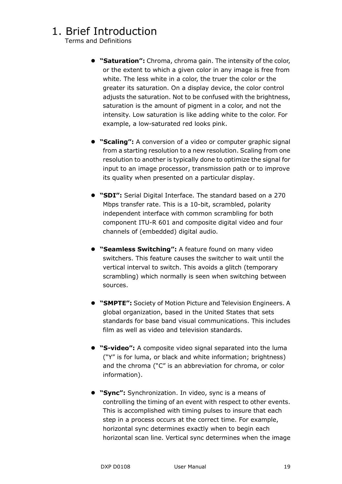Terms and Definitions

- **"Saturation":** Chroma, chroma gain. The intensity of the color, or the extent to which a given color in any image is free from white. The less white in a color, the truer the color or the greater its saturation. On a display device, the color control adjusts the saturation. Not to be confused with the brightness, saturation is the amount of pigment in a color, and not the intensity. Low saturation is like adding white to the color. For example, a low-saturated red looks pink.
- **"Scaling":** A conversion of a video or computer graphic signal from a starting resolution to a new resolution. Scaling from one resolution to another is typically done to optimize the signal for input to an image processor, transmission path or to improve its quality when presented on a particular display.
- **"SDI":** Serial Digital Interface. The standard based on a 270 Mbps transfer rate. This is a 10-bit, scrambled, polarity independent interface with common scrambling for both component ITU-R 601 and composite digital video and four channels of (embedded) digital audio.
- **"Seamless Switching":** A feature found on many video switchers. This feature causes the switcher to wait until the vertical interval to switch. This avoids a glitch (temporary scrambling) which normally is seen when switching between sources.
- **"SMPTE":** Society of Motion Picture and Television Engineers. A global organization, based in the United States that sets standards for base band visual communications. This includes film as well as video and television standards.
- **"S-video":** A composite video signal separated into the luma ("Y" is for luma, or black and white information; brightness) and the chroma ("C" is an abbreviation for chroma, or color information).
- **"Sync":** Synchronization. In video, sync is a means of controlling the timing of an event with respect to other events. This is accomplished with timing pulses to insure that each step in a process occurs at the correct time. For example, horizontal sync determines exactly when to begin each horizontal scan line. Vertical sync determines when the image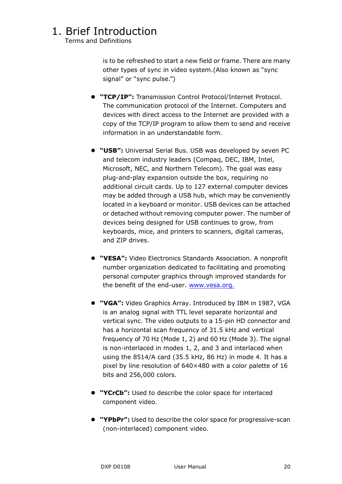Terms and Definitions

is to be refreshed to start a new field or frame. There are many other types of sync in video system.(Also known as "sync signal" or "sync pulse.")

- **"TCP/IP":** Transmission Control Protocol/Internet Protocol. The communication protocol of the Internet. Computers and devices with direct access to the Internet are provided with a copy of the TCP/IP program to allow them to send and receive information in an understandable form.
- **"USB":** Universal Serial Bus. USB was developed by seven PC and telecom industry leaders (Compaq, DEC, IBM, Intel, Microsoft, NEC, and Northern Telecom). The goal was easy plug-and-play expansion outside the box, requiring no additional circuit cards. Up to 127 external computer devices may be added through a USB hub, which may be conveniently located in a keyboard or monitor. USB devices can be attached or detached without removing computer power. The number of devices being designed for USB continues to grow, from keyboards, mice, and printers to scanners, digital cameras, and ZIP drives.
- **"VESA":** Video Electronics Standards Association. A nonprofit number organization dedicated to facilitating and promoting personal computer graphics through improved standards for the benefit of the end-user. [www.vesa.org.](http://www.vesa.org./)
- **"VGA":** Video Graphics Array. Introduced by IBM in 1987, VGA is an analog signal with TTL level separate horizontal and vertical sync. The video outputs to a 15-pin HD connector and has a horizontal scan frequency of 31.5 kHz and vertical frequency of 70 Hz (Mode 1, 2) and 60 Hz (Mode 3). The signal is non-interlaced in modes 1, 2, and 3 and interlaced when using the 8514/A card (35.5 kHz, 86 Hz) in mode 4. It has a pixel by line resolution of 640×480 with a color palette of 16 bits and 256,000 colors.
- **"YCrCb":** Used to describe the color space for interlaced component video.
- **"YPbPr":** Used to describe the color space for progressive-scan (non-interlaced) component video.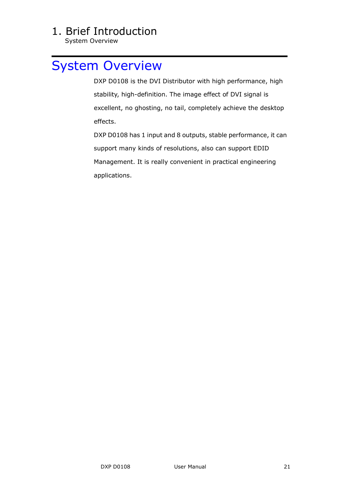System Overview

### <span id="page-20-0"></span>[System Overview](#page-11-5)

DXP D0108 is the DVI Distributor with high performance, high stability, high-definition. The image effect of DVI signal is excellent, no ghosting, no tail, completely achieve the desktop effects.

 DXP D0108 has 1 input and 8 outputs, stable performance, it can support many kinds of resolutions, also can support EDID Management. It is really convenient in practical engineering applications.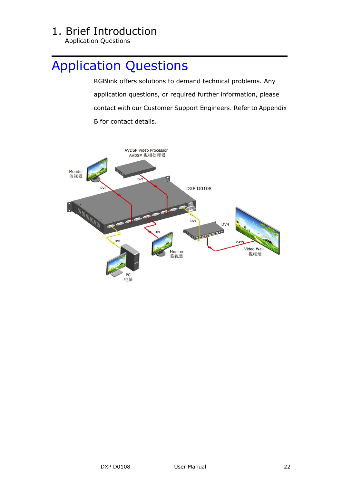<span id="page-21-0"></span>Application Questions

### <span id="page-21-1"></span>[Application Questions](#page-11-6)

 RGBlink offers solutions to demand technical problems. Any application questions, or required further information, please contact with our Customer Support Engineers. Refer to Appendix B for contact details.

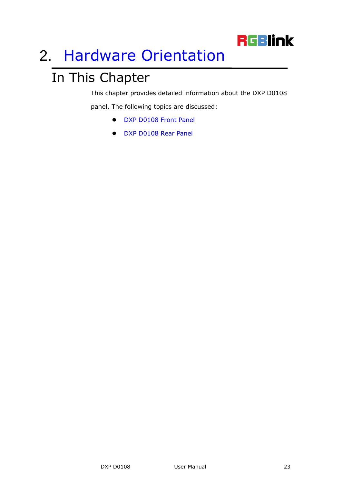# **RGBlink**

# <span id="page-22-2"></span><span id="page-22-0"></span>2. [Hardware Orientation](#page-12-2)

# <span id="page-22-1"></span>In This Chapter

This chapter provides detailed information about the DXP D0108

<span id="page-22-4"></span><span id="page-22-3"></span>panel. The following topics are discussed:

- [DXP D0108](#page-23-0) Front Panel
- [DXP D0108](#page-24-0) Rear Panel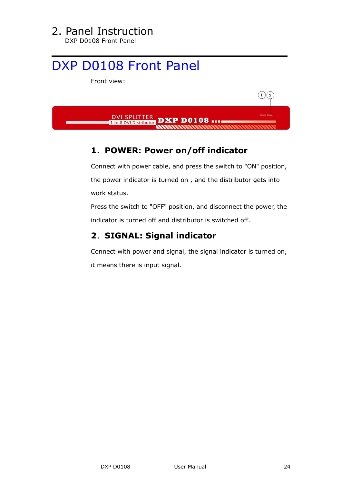# 2. Panel Instruction

DXP D0108 Front Panel

# <span id="page-23-0"></span>[DXP D0108](#page-22-3) Front Panel

Front view:



#### <span id="page-23-1"></span>**1**.**POWER: Power on/off indicator**

 Connect with power cable, and press the switch to "ON" position, the power indicator is turned on , and the distributor gets into work status.

Press the switch to "OFF" position, and disconnect the power, the indicator is turned off and distributor is switched off.

#### <span id="page-23-2"></span>**2**.**SIGNAL: Signal indicator**

Connect with power and signal, the signal indicator is turned on, it means there is input signal.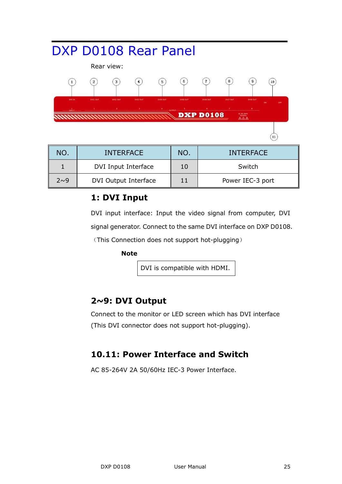#### <span id="page-24-0"></span>[DXP D0108](#page-22-4) Rear Panel Rear view:  $\odot$  $\binom{3}{}$  $\left( 4\right)$  $(7)$  $\left( \bf{8}\right)$  $\left(1\right)$  $\left( 2\right)$  $(5)$  $\left( \right.$  $(10)$ **DXP D0108**  $(11)$

| NO.      | <b>INTERFACE</b>     | NO. | <b>INTERFACE</b> |
|----------|----------------------|-----|------------------|
|          | DVI Input Interface  | 10  | Switch           |
| $2\sim9$ | DVI Output Interface | 11  | Power IEC-3 port |

#### <span id="page-24-1"></span>**1: DVI Input**

DVI input interface: Input the video signal from computer, DVI signal generator. Connect to the same DVI interface on DXP D0108.

(This Connection does not support hot-plugging)

#### **Note**

DVI is compatible with HDMI.

#### <span id="page-24-2"></span>**2~9: DVI Output**

Connect to the monitor or LED screen which has DVI interface (This DVI connector does not support hot-plugging).

#### <span id="page-24-3"></span>**10.11: Power Interface and Switch**

AC 85-264V 2A 50/60Hz IEC-3 Power Interface.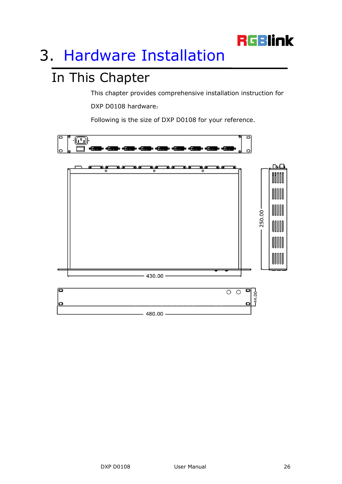

# <span id="page-25-2"></span><span id="page-25-0"></span>3. [Hardware Installation](#page-12-3)

# <span id="page-25-1"></span>In This Chapter

This chapter provides comprehensive installation instruction for

DXP D0108 hardware:

Following is the size of DXP D0108 for your reference.

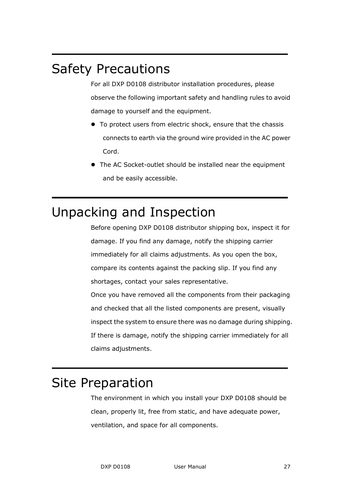## <span id="page-26-0"></span>Safety Precautions

For all DXP D0108 distributor installation procedures, please observe the following important safety and handling rules to avoid damage to yourself and the equipment.

- To protect users from electric shock, ensure that the chassis connects to earth via the ground wire provided in the AC power Cord.
- The AC Socket-outlet should be installed near the equipment and be easily accessible.

## <span id="page-26-1"></span>Unpacking and Inspection

Before opening DXP D0108 distributor shipping box, inspect it for damage. If you find any damage, notify the shipping carrier immediately for all claims adjustments. As you open the box, compare its contents against the packing slip. If you find any shortages, contact your sales representative.

Once you have removed all the components from their packaging and checked that all the listed components are present, visually inspect the system to ensure there was no damage during shipping. If there is damage, notify the shipping carrier immediately for all claims adjustments.

### <span id="page-26-2"></span>Site Preparation

The environment in which you install your DXP D0108 should be clean, properly lit, free from static, and have adequate power, ventilation, and space for all components.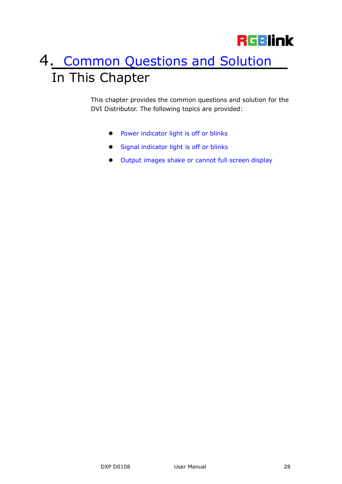# <span id="page-27-2"></span><span id="page-27-1"></span><span id="page-27-0"></span>4. [Common Questions and Solution](#page-12-4) In This Chapter

<span id="page-27-3"></span>This chapter provides the common questions and solution for the DVI Distributor. The following topics are provided:

- **•** [Power indicator light is off or blinks](#page-28-3)
- <span id="page-27-4"></span>**[Signal indicator light is off or blinks](#page-28-1)**
- <span id="page-27-5"></span>[Output images shake or cannot full screen display](#page-28-2)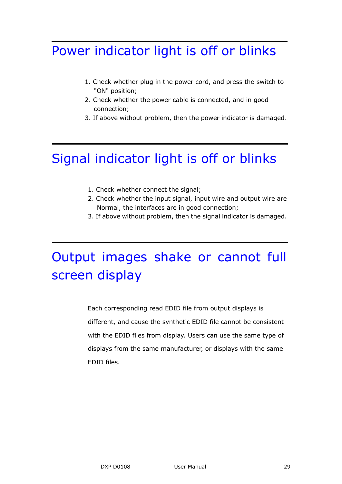## <span id="page-28-3"></span><span id="page-28-0"></span>[Power indicator light is off or blinks](#page-27-3)

- 1. Check whether plug in the power cord, and press the switch to "ON" position;
- 2. Check whether the power cable is connected, and in good connection;
- 3. If above without problem, then the power indicator is damaged.

# <span id="page-28-1"></span>[Signal indicator light is off or blinks](#page-27-4)

- 1. Check whether connect the signal;
- 2. Check whether the input signal, input wire and output wire are Normal, the interfaces are in good connection;
- 3. If above without problem, then the signal indicator is damaged.

# <span id="page-28-2"></span>[Output images shake or cannot full](#page-27-5)  [screen display](#page-27-5)

 Each corresponding read EDID file from output displays is different, and cause the synthetic EDID file cannot be consistent with the EDID files from display. Users can use the same type of displays from the same manufacturer, or displays with the same EDID files.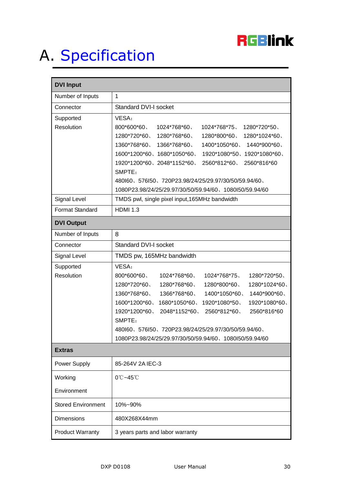

# <span id="page-29-1"></span><span id="page-29-0"></span>A. [Specification](#page-12-5)

| <b>DVI Input</b>          |                                                                      |
|---------------------------|----------------------------------------------------------------------|
| Number of Inputs          | $\mathbf{1}$                                                         |
| Connector                 | <b>Standard DVI-I socket</b>                                         |
| Supported                 | VESA:                                                                |
| Resolution                | 800*600*60、<br>1024*768*60<br>1024*768*75、<br>1280*720*50            |
|                           | $1280*720*60$ , $1280*768*60$ ,<br>1280*800*60、<br>1280*1024*60、     |
|                           | 1360*768*60、1366*768*60、<br>1400*1050*60、<br>1440*900*60、            |
|                           | 1600*1200*60、1680*1050*60、<br>1920*1080*50、1920*1080*60、             |
|                           | 1920*1200*60、2048*1152*60、<br>2560*812*60、<br>2560*816*60            |
|                           | SMPTE:<br>480160、576150、720P23.98/24/25/29.97/30/50/59.94/60、        |
|                           | 1080P23.98/24/25/29.97/30/50/59.94/60、1080I50/59.94/60               |
| Signal Level              | TMDS pwl, single pixel input, 165MHz bandwidth                       |
| Format Standard           | <b>HDMI 1.3</b>                                                      |
| <b>DVI Output</b>         |                                                                      |
| Number of Inputs          | 8                                                                    |
| Connector                 | <b>Standard DVI-I socket</b>                                         |
| Signal Level              | TMDS pw, 165MHz bandwidth                                            |
| Supported                 | VESA:                                                                |
| Resolution                | 800*600*60、<br>1024*768*60、<br>1024*768*75、<br>1280*720*50           |
|                           | 1280*720*60、<br>1280*768*60、<br>1280*800*60、<br>1280*1024*60、        |
|                           | 1360*768*60、<br>1366*768*60、<br>1400*1050*60、<br>1440*900*60         |
|                           | 1600*1200*60<br>1680*1050*60<br>1920*1080*50、<br>1920*1080*60、       |
|                           | 1920*1200*60<br>2048*1152*60<br>2560*812*60<br>2560*816*60<br>SMPTE: |
|                           | 480160、576150、720P23.98/24/25/29.97/30/50/59.94/60、                  |
|                           | 1080P23.98/24/25/29.97/30/50/59.94/60、1080I50/59.94/60               |
| <b>Extras</b>             |                                                                      |
| Power Supply              | 85-264V 2A IEC-3                                                     |
| Working                   | 0℃~45℃                                                               |
| Environment               |                                                                      |
| <b>Stored Environment</b> | 10%~90%                                                              |
| <b>Dimensions</b>         | 480X268X44mm                                                         |
| <b>Product Warranty</b>   | 3 years parts and labor warranty                                     |